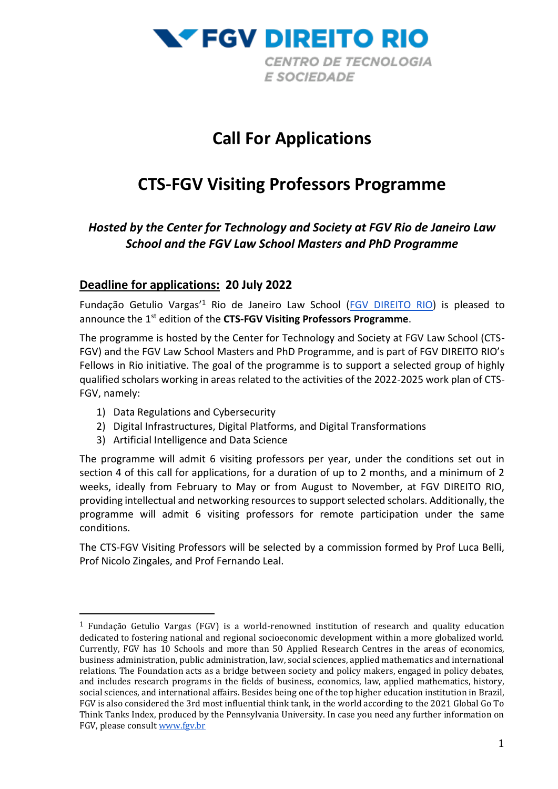

# **Call For Applications**

# **CTS-FGV Visiting Professors Programme**

# *Hosted by the Center for Technology and Society at FGV Rio de Janeiro Law School and the FGV Law School Masters and PhD Programme*

# **Deadline for applications: 20 July 2022**

Fundação Getulio Vargas'<sup>1</sup> Rio de Janeiro Law School [\(FGV DIREITO RIO\)](https://direitorio.fgv.br/en) is pleased to announce the 1<sup>st</sup> edition of the CTS-FGV Visiting Professors Programme.

The programme is hosted by the Center for Technology and Society at FGV Law School (CTS-FGV) and the FGV Law School Masters and PhD Programme, and is part of FGV DIREITO RIO's Fellows in Rio initiative. The goal of the programme is to support a selected group of highly qualified scholars working in areas related to the activities of the 2022-2025 work plan of CTS-FGV, namely:

- 1) Data Regulations and Cybersecurity
- 2) Digital Infrastructures, Digital Platforms, and Digital Transformations
- 3) Artificial Intelligence and Data Science

The programme will admit 6 visiting professors per year, under the conditions set out in section 4 of this call for applications, for a duration of up to 2 months, and a minimum of 2 weeks, ideally from February to May or from August to November, at FGV DIREITO RIO, providing intellectual and networking resources to support selected scholars. Additionally, the programme will admit 6 visiting professors for remote participation under the same conditions.

The CTS-FGV Visiting Professors will be selected by a commission formed by Prof Luca Belli, Prof Nicolo Zingales, and Prof Fernando Leal.

<sup>&</sup>lt;sup>1</sup> Fundação Getulio Vargas (FGV) is a world-renowned institution of research and quality education dedicated to fostering national and regional socioeconomic development within a more globalized world. Currently, FGV has 10 Schools and more than 50 Applied Research Centres in the areas of economics, business administration, public administration, law, social sciences, applied mathematics and international relations. The Foundation acts as a bridge between society and policy makers, engaged in policy debates, and includes research programs in the fields of business, economics, law, applied mathematics, history, social sciences, and international affairs. Besides being one of the top higher education institution in Brazil, FGV is also considered the 3rd most influential think tank, in the world according to the 2021 Global Go To Think Tanks Index, produced by the Pennsylvania University. In case you need any further information on FGV, please consul[t www.fgv.br](http://www.fgv.br/)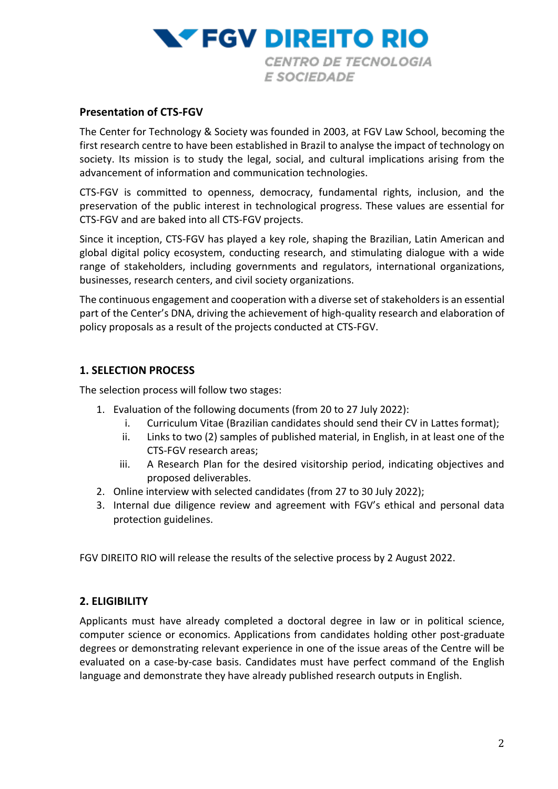

#### **Presentation of CTS-FGV**

The Center for Technology & Society was founded in 2003, at FGV Law School, becoming the first research centre to have been established in Brazil to analyse the impact of technology on society. Its mission is to study the legal, social, and cultural implications arising from the advancement of information and communication technologies.

CTS-FGV is committed to openness, democracy, fundamental rights, inclusion, and the preservation of the public interest in technological progress. These values are essential for CTS-FGV and are baked into all CTS-FGV projects.

Since it inception, CTS-FGV has played a key role, shaping the Brazilian, Latin American and global digital policy ecosystem, conducting research, and stimulating dialogue with a wide range of stakeholders, including governments and regulators, international organizations, businesses, research centers, and civil society organizations.

The continuous engagement and cooperation with a diverse set of stakeholders is an essential part of the Center's DNA, driving the achievement of high-quality research and elaboration of policy proposals as a result of the projects conducted at CTS-FGV.

#### **1. SELECTION PROCESS**

The selection process will follow two stages:

- 1. Evaluation of the following documents (from 20 to 27 July 2022):
	- i. Curriculum Vitae (Brazilian candidates should send their CV in Lattes format);
	- ii. Links to two (2) samples of published material, in English, in at least one of the CTS-FGV research areas;
	- iii. A Research Plan for the desired visitorship period, indicating objectives and proposed deliverables.
- 2. Online interview with selected candidates (from 27 to 30 July 2022);
- 3. Internal due diligence review and agreement with FGV's ethical and personal data protection guidelines.

FGV DIREITO RIO will release the results of the selective process by 2 August 2022.

#### **2. ELIGIBILITY**

Applicants must have already completed a doctoral degree in law or in political science, computer science or economics. Applications from candidates holding other post-graduate degrees or demonstrating relevant experience in one of the issue areas of the Centre will be evaluated on a case-by-case basis. Candidates must have perfect command of the English language and demonstrate they have already published research outputs in English.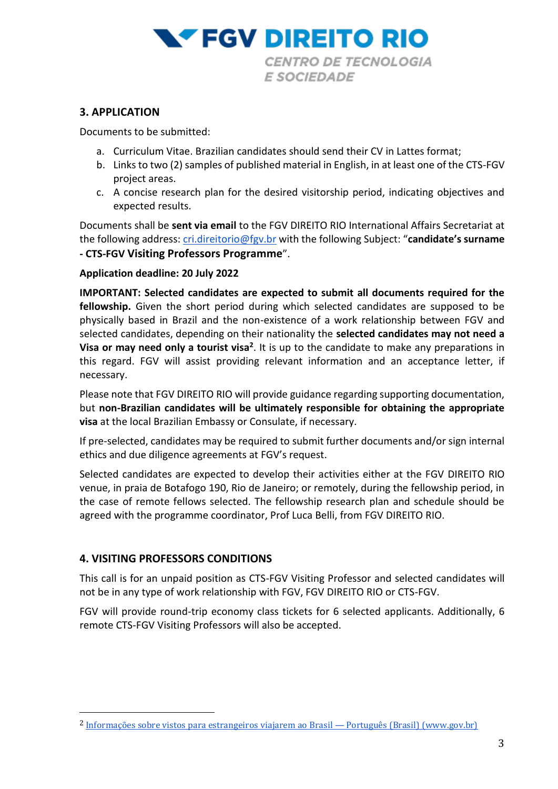

### **3. APPLICATION**

Documents to be submitted:

- a. Curriculum Vitae. Brazilian candidates should send their CV in Lattes format;
- b. Links to two (2) samples of published material in English, in at least one of the CTS-FGV project areas.
- c. A concise research plan for the desired visitorship period, indicating objectives and expected results.

Documents shall be **sent via email** to the FGV DIREITO RIO International Affairs Secretariat at the following address: [cri.direitorio@fgv.br](mailto:cri.direitorio@fgv.br) with the following Subject: "**candidate's surname - CTS-FGV Visiting Professors Programme**".

#### **Application deadline: 20 July 2022**

**IMPORTANT: Selected candidates are expected to submit all documents required for the fellowship.** Given the short period during which selected candidates are supposed to be physically based in Brazil and the non-existence of a work relationship between FGV and selected candidates, depending on their nationality the **selected candidates may not need a Visa or may need only a tourist visa<sup>2</sup>** . It is up to the candidate to make any preparations in this regard. FGV will assist providing relevant information and an acceptance letter, if necessary.

Please note that FGV DIREITO RIO will provide guidance regarding supporting documentation, but **non-Brazilian candidates will be ultimately responsible for obtaining the appropriate visa** at the local Brazilian Embassy or Consulate, if necessary.

If pre-selected, candidates may be required to submit further documents and/or sign internal ethics and due diligence agreements at FGV's request.

Selected candidates are expected to develop their activities either at the FGV DIREITO RIO venue, in praia de Botafogo 190, Rio de Janeiro; or remotely, during the fellowship period, in the case of remote fellows selected. The fellowship research plan and schedule should be agreed with the programme coordinator, Prof Luca Belli, from FGV DIREITO RIO.

## **4. VISITING PROFESSORS CONDITIONS**

This call is for an unpaid position as CTS-FGV Visiting Professor and selected candidates will not be in any type of work relationship with FGV, FGV DIREITO RIO or CTS-FGV.

FGV will provide round-trip economy class tickets for 6 selected applicants. Additionally, 6 remote CTS-FGV Visiting Professors will also be accepted.

<sup>&</sup>lt;sup>2</sup> [Informações sobre vistos para estrangeiros viajarem ao Brasil](https://www.gov.br/mre/pt-br/assuntos/portal-consular/vistos/informacoes-sobre-vistos-para-estrangeiros-viajarem-ao-brasil) — Português (Brasil) (www.gov.br)